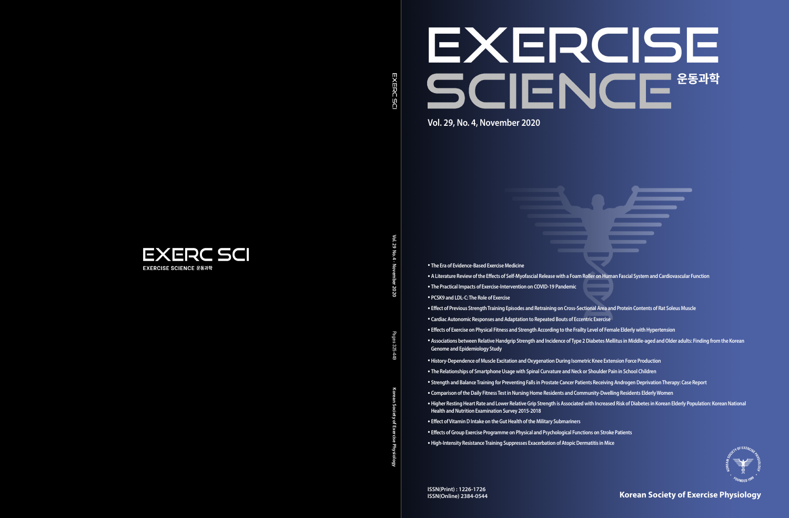**Korean Society of Exercise Physiology**

# EXERCISE SCIENCE **Vol. 29, No. 4, November 2020**



Vol. 29 **Vol. 29 No. 4 · November 2020**  $\leq$ 

**EXERC SCI** 

- Pages **Korean Society of Exercise Physiology** Pages 325-449 322 र्दाह
- 
- 

- **The Era of Evidence-Based Exercise Medicine**
- **A Literature Review of the Effects of Self-Myofascial Release with a Foam Roller on Human Fascial System and Cardiovascular Function**
- **The Practical Impacts of Exercise-Intervention on COVID-19 Pandemic**
- **PCSK9 and LDL-C: The Role of Exercise**
- **Effect of Previous Strength Training Episodes and Retraining on Cross-Sectional Area and Protein Contents of Rat Soleus Muscle**
- **Cardiac Autonomic Responses and Adaptation to Repeated Bouts of Eccentric Exercise**
- **Associations between Relative Handgrip Strength and Incidence of Type 2 Diabetes Mellitus in Middle-aged and Older adults: Finding from the Korean Genome and Epidemiology Study**
- •**History-Dependence of Muscle Excitation and Oxygenation During Isometric Knee Extension Force Production**
- **The Relationships of Smartphone Usage with Spinal Curvature and Neck or Shoulder Pain in School Children**
- **Strength and Balance Training for Preventing Falls in Prostate Cancer Patients Receiving Androgen Deprivation Therapy: Case Report**
- **Comparison of the Daily Fitness Test in Nursing Home Residents and Community-Dwelling Residents Elderly Women**
- **Health and Nutrition Examination Survey 2015-2018**
- **Effect of Vitamin D Intake on the Gut Health of the Military Submariners**
- **Effects of Group Exercise Programme on Physical and Psychological Functions on Stroke Patients**
- •**High-Intensity Resistance Training Suppresses Exacerbation of Atopic Dermatitis in Mice**
- 
- **Effects of Exercise on Physical Fitness and Strength According to the Frailty Level of Female Elderly with Hypertension**
	-
	-
	-
	-
- •**Higher Resting Heart Rate and Lower Relative Grip Strength is Associated with Increased Risk of Diabetes in Korean Elderly Population: Korean National**